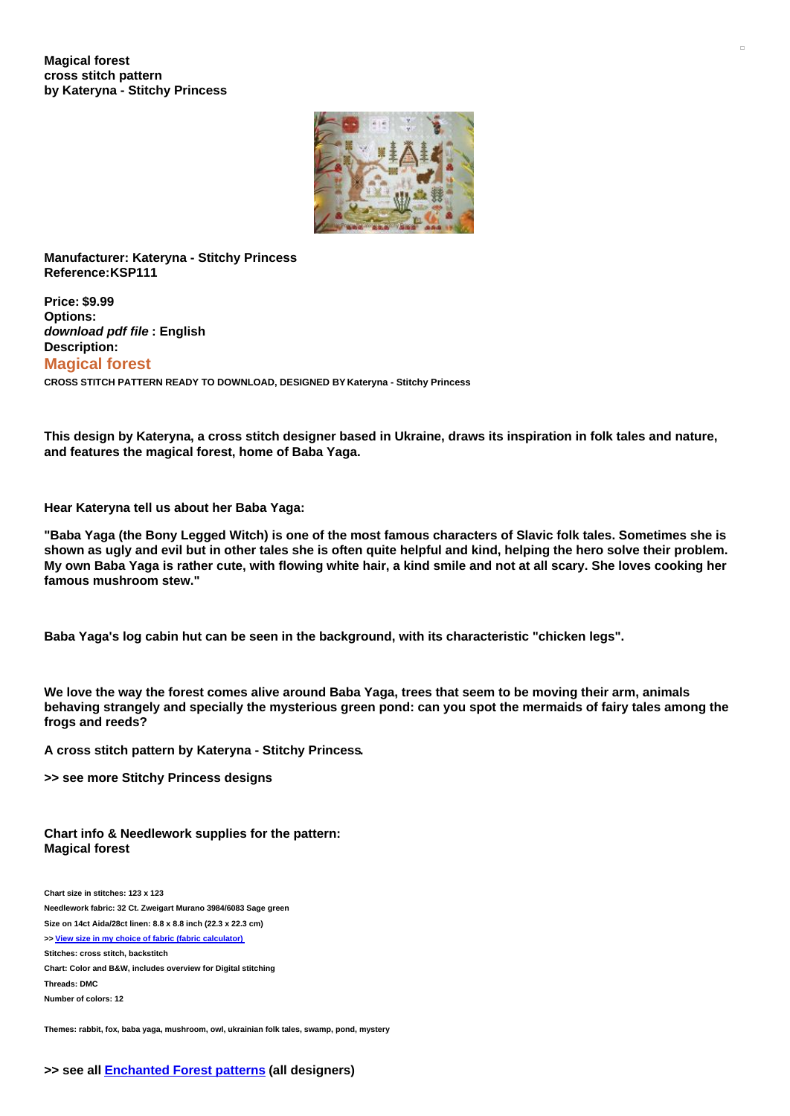

**Manufacturer: Kateryna - Stitchy Princess Reference:KSP111**

**Price: \$9.99 Options:** *download pdf file* **: English Description: Magical forest**

**CROSS STITCH PATTERN READY TO DOWNLOAD, DESIGNED BY Kateryna - Stitchy Princess**

This design by Kateryna, a cross stitch designer based in Ukraine, draws its inspiration in folk tales and nature, **and features the magical forest, home of Baba Yaga.**

**Hear Kateryna tell us about her Baba Yaga:**

"Baba Yaga (the Bony Legged Witch) is one of the most famous characters of Slavic folk tales. Sometimes she is shown as ugly and evil but in other tales she is often quite helpful and kind, helping the hero solve their problem. My own Baba Yaga is rather cute, with flowing white hair, a kind smile and not at all scary. She loves cooking her **famous mushroom stew."**

**Baba Yaga's log cabin hut can be seen in the background, with its characteristic "chicken legs".**

We love the way the forest comes alive around Baba Yaga, trees that seem to be moving their arm, animals behaving strangely and specially the mysterious green pond: can you spot the mermaids of fairy tales among the **frogs and reeds?**

**A cross stitch pattern by Kateryna - Stitchy Princess.**

**>> see more Stitchy Princess designs**

**Chart info & Needlework supplies for the pattern: Magical forest**

**Chart size in stitches: 123 x 123 Needlework fabric: 32 Ct. Zweigart Murano 3984/6083 Sage green Size on 14ct Aida/28ct linen: 8.8 x 8.8 inch (22.3 x 22.3 cm) >> View size in my choice of fabric (fabric [calculator\)](https://www.creativepoppypatterns.com/calculette-de-toile.php?products_id=&w=&h=) Stitches: cross stitch, backstitch Chart: Color and B&W, includes overview for Digital stitching Threads: DMC Number of colors: 12**

**Themes: rabbit, fox, baba yaga, mushroom, owl, ukrainian folk tales, swamp, pond, mystery**